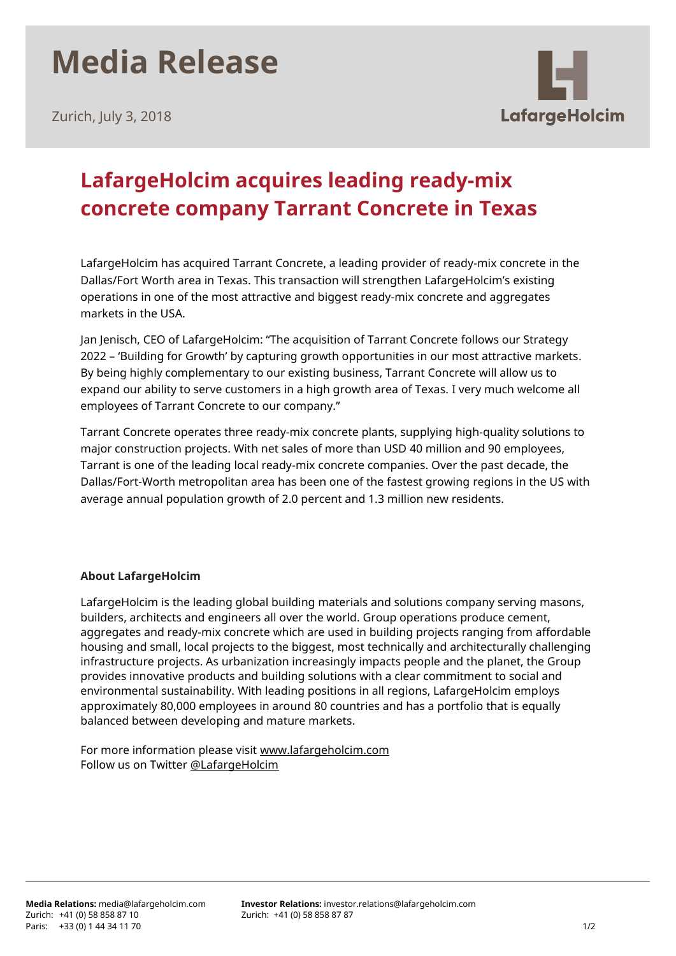## **Media Release**

Zurich, July 3, 2018



## **LafargeHolcim acquires leading ready-mix concrete company Tarrant Concrete in Texas**

LafargeHolcim has acquired Tarrant Concrete, a leading provider of ready-mix concrete in the Dallas/Fort Worth area in Texas. This transaction will strengthen LafargeHolcim's existing operations in one of the most attractive and biggest ready-mix concrete and aggregates markets in the USA.

Jan Jenisch, CEO of LafargeHolcim: "The acquisition of Tarrant Concrete follows our Strategy 2022 – 'Building for Growth' by capturing growth opportunities in our most attractive markets. By being highly complementary to our existing business, Tarrant Concrete will allow us to expand our ability to serve customers in a high growth area of Texas. I very much welcome all employees of Tarrant Concrete to our company."

Tarrant Concrete operates three ready-mix concrete plants, supplying high-quality solutions to major construction projects. With net sales of more than USD 40 million and 90 employees, Tarrant is one of the leading local ready-mix concrete companies. Over the past decade, the Dallas/Fort-Worth metropolitan area has been one of the fastest growing regions in the US with average annual population growth of 2.0 percent and 1.3 million new residents.

## **About LafargeHolcim**

LafargeHolcim is the leading global building materials and solutions company serving masons, builders, architects and engineers all over the world. Group operations produce cement, aggregates and ready-mix concrete which are used in building projects ranging from affordable housing and small, local projects to the biggest, most technically and architecturally challenging infrastructure projects. As urbanization increasingly impacts people and the planet, the Group provides innovative products and building solutions with a clear commitment to social and environmental sustainability. With leading positions in all regions, LafargeHolcim employs approximately 80,000 employees in around 80 countries and has a portfolio that is equally balanced between developing and mature markets.

For more information please visit [www.lafargeholcim.com](http://www.lafargeholcim.com/) Follow us on Twitter [@LafargeHolcim](https://twitter.com/lafargeholcim)